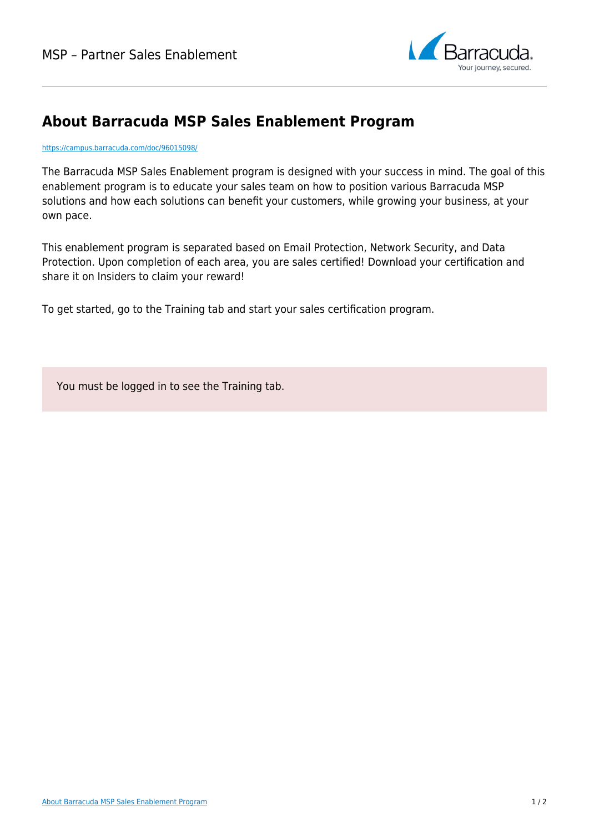

## **About Barracuda MSP Sales Enablement Program**

<https://campus.barracuda.com/doc/96015098/>

The Barracuda MSP Sales Enablement program is designed with your success in mind. The goal of this enablement program is to educate your sales team on how to position various Barracuda MSP solutions and how each solutions can benefit your customers, while growing your business, at your own pace.

This enablement program is separated based on Email Protection, Network Security, and Data Protection. Upon completion of each area, you are sales certified! Download your certification and share it on Insiders to claim your reward!

To get started, go to the Training tab and start your sales certification program.

You must be logged in to see the Training tab.